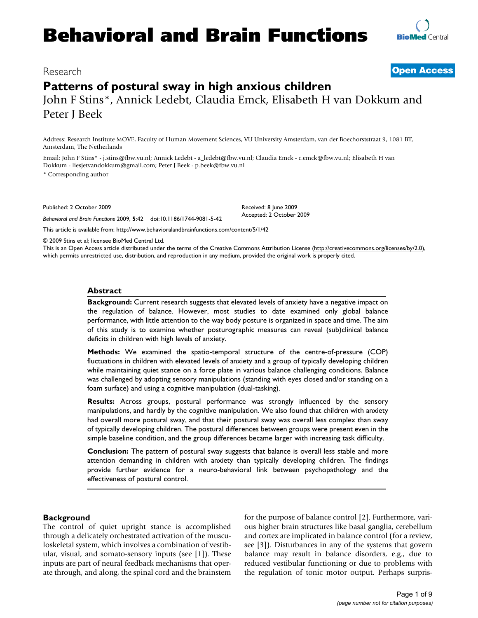**[Open Access](http://www.biomedcentral.com/info/about/charter/)**

## Research

# **Patterns of postural sway in high anxious children**

John F Stins\*, Annick Ledebt, Claudia Emck, Elisabeth H van Dokkum and Peter J Beek

Address: Research Institute MOVE, Faculty of Human Movement Sciences, VU University Amsterdam, van der Boechorststraat 9, 1081 BT, Amsterdam, The Netherlands

Email: John F Stins\* - j.stins@fbw.vu.nl; Annick Ledebt - a\_ledebt@fbw.vu.nl; Claudia Emck - c.emck@fbw.vu.nl; Elisabeth H van Dokkum - liesjetvandokkum@gmail.com; Peter J Beek - p.beek@fbw.vu.nl

\* Corresponding author

Published: 2 October 2009

*Behavioral and Brain Functions* 2009, **5**:42 doi:10.1186/1744-9081-5-42

[This article is available from: http://www.behavioralandbrainfunctions.com/content/5/1/42](http://www.behavioralandbrainfunctions.com/content/5/1/42)

© 2009 Stins et al; licensee BioMed Central Ltd.

This is an Open Access article distributed under the terms of the Creative Commons Attribution License [\(http://creativecommons.org/licenses/by/2.0\)](http://creativecommons.org/licenses/by/2.0), which permits unrestricted use, distribution, and reproduction in any medium, provided the original work is properly cited.

Received: 8 June 2009 Accepted: 2 October 2009

## **Abstract**

**Background:** Current research suggests that elevated levels of anxiety have a negative impact on the regulation of balance. However, most studies to date examined only global balance performance, with little attention to the way body posture is organized in space and time. The aim of this study is to examine whether posturographic measures can reveal (sub)clinical balance deficits in children with high levels of anxiety.

**Methods:** We examined the spatio-temporal structure of the centre-of-pressure (COP) fluctuations in children with elevated levels of anxiety and a group of typically developing children while maintaining quiet stance on a force plate in various balance challenging conditions. Balance was challenged by adopting sensory manipulations (standing with eyes closed and/or standing on a foam surface) and using a cognitive manipulation (dual-tasking).

**Results:** Across groups, postural performance was strongly influenced by the sensory manipulations, and hardly by the cognitive manipulation. We also found that children with anxiety had overall more postural sway, and that their postural sway was overall less complex than sway of typically developing children. The postural differences between groups were present even in the simple baseline condition, and the group differences became larger with increasing task difficulty.

**Conclusion:** The pattern of postural sway suggests that balance is overall less stable and more attention demanding in children with anxiety than typically developing children. The findings provide further evidence for a neuro-behavioral link between psychopathology and the effectiveness of postural control.

## **Background**

The control of quiet upright stance is accomplished through a delicately orchestrated activation of the musculoskeletal system, which involves a combination of vestibular, visual, and somato-sensory inputs (see [\[1\]](#page-7-0)). These inputs are part of neural feedback mechanisms that operate through, and along, the spinal cord and the brainstem for the purpose of balance control [\[2\]](#page-7-1). Furthermore, various higher brain structures like basal ganglia, cerebellum and cortex are implicated in balance control (for a review, see [[3](#page-7-2)]). Disturbances in any of the systems that govern balance may result in balance disorders, e.g., due to reduced vestibular functioning or due to problems with the regulation of tonic motor output. Perhaps surpris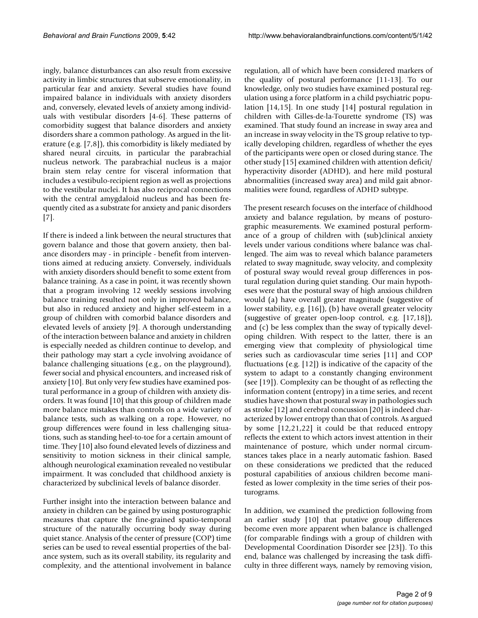ingly, balance disturbances can also result from excessive activity in limbic structures that subserve emotionality, in particular fear and anxiety. Several studies have found impaired balance in individuals with anxiety disorders and, conversely, elevated levels of anxiety among individuals with vestibular disorders [[4-](#page-7-3)[6](#page-7-4)]. These patterns of comorbidity suggest that balance disorders and anxiety disorders share a common pathology. As argued in the literature (e.g. [[7](#page-7-5),[8](#page-7-6)]), this comorbidity is likely mediated by shared neural circuits, in particular the parabrachial nucleus network. The parabrachial nucleus is a major brain stem relay centre for visceral information that includes a vestibulo-recipient region as well as projections to the vestibular nuclei. It has also reciprocal connections with the central amygdaloid nucleus and has been frequently cited as a substrate for anxiety and panic disorders [[7\]](#page-7-5).

If there is indeed a link between the neural structures that govern balance and those that govern anxiety, then balance disorders may - in principle - benefit from interventions aimed at reducing anxiety. Conversely, individuals with anxiety disorders should benefit to some extent from balance training. As a case in point, it was recently shown that a program involving 12 weekly sessions involving balance training resulted not only in improved balance, but also in reduced anxiety and higher self-esteem in a group of children with comorbid balance disorders and elevated levels of anxiety [\[9\]](#page-7-7). A thorough understanding of the interaction between balance and anxiety in children is especially needed as children continue to develop, and their pathology may start a cycle involving avoidance of balance challenging situations (e.g., on the playground), fewer social and physical encounters, and increased risk of anxiety [[10](#page-7-8)]. But only very few studies have examined postural performance in a group of children with anxiety disorders. It was found [\[10\]](#page-7-8) that this group of children made more balance mistakes than controls on a wide variety of balance tests, such as walking on a rope. However, no group differences were found in less challenging situations, such as standing heel-to-toe for a certain amount of time. They [\[10](#page-7-8)] also found elevated levels of dizziness and sensitivity to motion sickness in their clinical sample, although neurological examination revealed no vestibular impairment. It was concluded that childhood anxiety is characterized by subclinical levels of balance disorder.

Further insight into the interaction between balance and anxiety in children can be gained by using posturographic measures that capture the fine-grained spatio-temporal structure of the naturally occurring body sway during quiet stance. Analysis of the center of pressure (COP) time series can be used to reveal essential properties of the balance system, such as its overall stability, its regularity and complexity, and the attentional involvement in balance

regulation, all of which have been considered markers of the quality of postural performance [[11-](#page-7-9)[13\]](#page-7-10). To our knowledge, only two studies have examined postural regulation using a force platform in a child psychiatric population [\[14](#page-7-11),[15](#page-7-12)]. In one study [[14\]](#page-7-11) postural regulation in children with Gilles-de-la-Tourette syndrome (TS) was examined. That study found an increase in sway area and an increase in sway velocity in the TS group relative to typically developing children, regardless of whether the eyes of the participants were open or closed during stance. The other study [[15\]](#page-7-12) examined children with attention deficit/ hyperactivity disorder (ADHD), and here mild postural abnormalities (increased sway area) and mild gait abnormalities were found, regardless of ADHD subtype.

The present research focuses on the interface of childhood anxiety and balance regulation, by means of posturographic measurements. We examined postural performance of a group of children with (sub)clinical anxiety levels under various conditions where balance was challenged. The aim was to reveal which balance parameters related to sway magnitude, sway velocity, and complexity of postural sway would reveal group differences in postural regulation during quiet standing. Our main hypotheses were that the postural sway of high anxious children would (a) have overall greater magnitude (suggestive of lower stability, e.g. [\[16\]](#page-7-13)), (b) have overall greater velocity (suggestive of greater open-loop control, e.g. [[17](#page-7-14)[,18](#page-7-15)]), and (c) be less complex than the sway of typically developing children. With respect to the latter, there is an emerging view that complexity of physiological time series such as cardiovascular time series [\[11\]](#page-7-9) and COP fluctuations (e.g. [\[12](#page-7-16)]) is indicative of the capacity of the system to adapt to a constantly changing environment (see [[19\]](#page-7-17)). Complexity can be thought of as reflecting the information content (entropy) in a time series, and recent studies have shown that postural sway in pathologies such as stroke [[12](#page-7-16)] and cerebral concussion [[20\]](#page-8-0) is indeed characterized by lower entropy than that of controls. As argued by some [[12,](#page-7-16)[21](#page-8-1)[,22](#page-8-2)] it could be that reduced entropy reflects the extent to which actors invest attention in their maintenance of posture, which under normal circumstances takes place in a nearly automatic fashion. Based on these considerations we predicted that the reduced postural capabilities of anxious children become manifested as lower complexity in the time series of their posturograms.

In addition, we examined the prediction following from an earlier study [\[10](#page-7-8)] that putative group differences become even more apparent when balance is challenged (for comparable findings with a group of children with Developmental Coordination Disorder see [[23\]](#page-8-3)). To this end, balance was challenged by increasing the task difficulty in three different ways, namely by removing vision,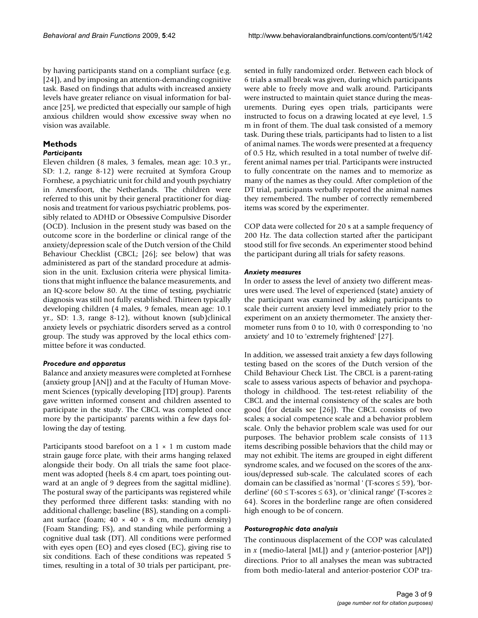by having participants stand on a compliant surface (e.g. [[24](#page-8-4)]), and by imposing an attention-demanding cognitive task. Based on findings that adults with increased anxiety levels have greater reliance on visual information for balance [\[25\]](#page-8-5), we predicted that especially our sample of high anxious children would show excessive sway when no vision was available.

## **Methods**

## *Participants*

Eleven children (8 males, 3 females, mean age: 10.3 yr., SD: 1.2, range 8-12) were recruited at Symfora Group Fornhese, a psychiatric unit for child and youth psychiatry in Amersfoort, the Netherlands. The children were referred to this unit by their general practitioner for diagnosis and treatment for various psychiatric problems, possibly related to ADHD or Obsessive Compulsive Disorder (OCD). Inclusion in the present study was based on the outcome score in the borderline or clinical range of the anxiety/depression scale of the Dutch version of the Child Behaviour Checklist (CBCL; [\[26](#page-8-6)]; see below) that was administered as part of the standard procedure at admission in the unit. Exclusion criteria were physical limitations that might influence the balance measurements, and an IQ-score below 80. At the time of testing, psychiatric diagnosis was still not fully established. Thirteen typically developing children (4 males, 9 females, mean age: 10.1 yr., SD: 1.3, range 8-12), without known (sub)clinical anxiety levels or psychiatric disorders served as a control group. The study was approved by the local ethics committee before it was conducted.

## *Procedure and apparatus*

Balance and anxiety measures were completed at Fornhese (anxiety group [AN]) and at the Faculty of Human Movement Sciences (typically developing [TD] group). Parents gave written informed consent and children assented to participate in the study. The CBCL was completed once more by the participants' parents within a few days following the day of testing.

Participants stood barefoot on a  $1 \times 1$  m custom made strain gauge force plate, with their arms hanging relaxed alongside their body. On all trials the same foot placement was adopted (heels 8.4 cm apart, toes pointing outward at an angle of 9 degrees from the sagittal midline). The postural sway of the participants was registered while they performed three different tasks: standing with no additional challenge; baseline (BS), standing on a compliant surface (foam;  $40 \times 40 \times 8$  cm, medium density) (Foam Standing; FS), and standing while performing a cognitive dual task (DT). All conditions were performed with eyes open (EO) and eyes closed (EC), giving rise to six conditions. Each of these conditions was repeated 5 times, resulting in a total of 30 trials per participant, presented in fully randomized order. Between each block of 6 trials a small break was given, during which participants were able to freely move and walk around. Participants were instructed to maintain quiet stance during the measurements. During eyes open trials, participants were instructed to focus on a drawing located at eye level, 1.5 m in front of them. The dual task consisted of a memory task. During these trials, participants had to listen to a list of animal names. The words were presented at a frequency of 0.5 Hz, which resulted in a total number of twelve different animal names per trial. Participants were instructed to fully concentrate on the names and to memorize as many of the names as they could. After completion of the DT trial, participants verbally reported the animal names they remembered. The number of correctly remembered items was scored by the experimenter.

COP data were collected for 20 s at a sample frequency of 200 Hz. The data collection started after the participant stood still for five seconds. An experimenter stood behind the participant during all trials for safety reasons.

## *Anxiety measures*

In order to assess the level of anxiety two different measures were used. The level of experienced (state) anxiety of the participant was examined by asking participants to scale their current anxiety level immediately prior to the experiment on an anxiety thermometer. The anxiety thermometer runs from 0 to 10, with 0 corresponding to 'no anxiety' and 10 to 'extremely frightened' [[27\]](#page-8-7).

In addition, we assessed trait anxiety a few days following testing based on the scores of the Dutch version of the Child Behaviour Check List. The CBCL is a parent-rating scale to assess various aspects of behavior and psychopathology in childhood. The test-retest reliability of the CBCL and the internal consistency of the scales are both good (for details see [[26\]](#page-8-6)). The CBCL consists of two scales; a social competence scale and a behavior problem scale. Only the behavior problem scale was used for our purposes. The behavior problem scale consists of 113 items describing possible behaviors that the child may or may not exhibit. The items are grouped in eight different syndrome scales, and we focused on the scores of the anxious/depressed sub-scale. The calculated scores of each domain can be classified as 'normal ' (T-scores ≤ 59), 'borderline' (60 ≤ T-scores ≤ 63), or 'clinical range' (T-scores ≥ 64). Scores in the borderline range are often considered high enough to be of concern.

## *Posturographic data analysis*

The continuous displacement of the COP was calculated in *x* (medio-lateral [ML]) and *y* (anterior-posterior [AP]) directions. Prior to all analyses the mean was subtracted from both medio-lateral and anterior-posterior COP tra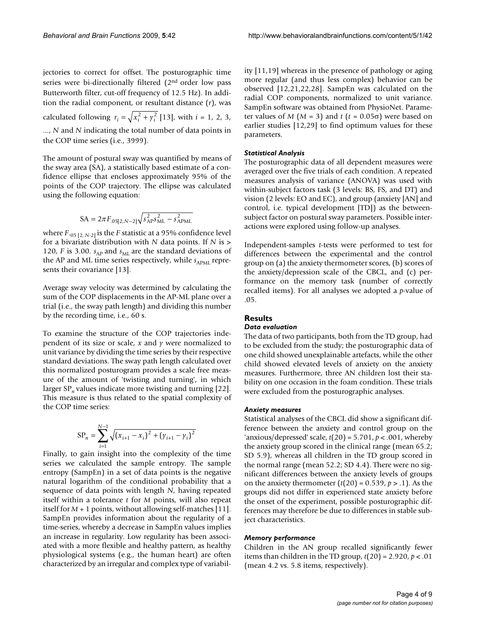jectories to correct for offset. The posturographic time series were bi-directionally filtered (2<sup>nd</sup> order low pass Butterworth filter, cut-off frequency of 12.5 Hz). In addition the radial component, or resultant distance (*r*), was calculated following  $r_i = \sqrt{x_i^2 + y_i^2}$  [\[13\]](#page-7-10), with  $i = 1, 2, 3$ , ..., *N* and *N* indicating the total number of data points in the COP time series (i.e., 3999).

The amount of postural sway was quantified by means of the sway area (SA), a statistically based estimate of a confidence ellipse that encloses approximately 95% of the points of the COP trajectory. The ellipse was calculated using the following equation:

$$
SA = 2\pi F_{.05[2,N-2]}\sqrt{s_{AP}^2 s_{ML}^2 - s_{APML}^2}
$$

where *F*.05 [2, *N*-2] is the *F* statistic at a 95% confidence level for a bivariate distribution with *N* data points. If *N* is > 120,  $F$  is 3.00.  $s_{AP}$  and  $s_{ML}$  are the standard deviations of the AP and ML time series respectively, while  $s_{APML}$  repre-sents their covariance [\[13](#page-7-10)].

Average sway velocity was determined by calculating the sum of the COP displacements in the AP-ML plane over a trial (i.e., the sway path length) and dividing this number by the recording time, i.e., 60 s.

To examine the structure of the COP trajectories independent of its size or scale, *x* and *y* were normalized to unit variance by dividing the time series by their respective standard deviations. The sway path length calculated over this normalized posturogram provides a scale free measure of the amount of 'twisting and turning', in which larger SP<sub>n</sub> values indicate more twisting and turning [\[22](#page-8-2)]. This measure is thus related to the spatial complexity of the COP time series:

$$
SP_n = \sum_{i=1}^{N-1} \sqrt{(x_{i+1} - x_i)^2 + (y_{i+1} - y_i)^2}
$$

Finally, to gain insight into the complexity of the time series we calculated the sample entropy. The sample entropy (SampEn) in a set of data points is the negative natural logarithm of the conditional probability that a sequence of data points with length *N*, having repeated itself within a tolerance *t* for *M* points, will also repeat itself for *M* + 1 points, without allowing self-matches [\[11](#page-7-9)]. SampEn provides information about the regularity of a time-series, whereby a decrease in SampEn values implies an increase in regularity. Low regularity has been associated with a more flexible and healthy pattern, as healthy physiological systems (e.g., the human heart) are often characterized by an irregular and complex type of variability [[11,](#page-7-9)[19\]](#page-7-17) whereas in the presence of pathology or aging more regular (and thus less complex) behavior can be observed [\[12](#page-7-16),[21,](#page-8-1)[22](#page-8-2)[,28](#page-8-8)]. SampEn was calculated on the radial COP components, normalized to unit variance. SampEn software was obtained from PhysioNet. Parameter values of *M* ( $M = 3$ ) and *t* ( $t = 0.05\sigma$ ) were based on earlier studies [\[12,](#page-7-16)[29](#page-8-9)] to find optimum values for these parameters.

#### *Statistical Analysis*

The posturographic data of all dependent measures were averaged over the five trials of each condition. A repeated measures analysis of variance (ANOVA) was used with within-subject factors task (3 levels: BS, FS, and DT) and vision (2 levels: EO and EC), and group (anxiety [AN] and control, i.e. typical development [TD]) as the betweensubject factor on postural sway parameters. Possible interactions were explored using follow-up analyses.

Independent-samples *t*-tests were performed to test for differences between the experimental and the control group on (a) the anxiety thermometer scores, (b) scores of the anxiety/depression scale of the CBCL, and (c) performance on the memory task (number of correctly recalled items). For all analyses we adopted a *p*-value of .05.

#### **Results**

#### *Data evaluation*

The data of two participants, both from the TD group, had to be excluded from the study; the posturographic data of one child showed unexplainable artefacts, while the other child showed elevated levels of anxiety on the anxiety measures. Furthermore, three AN children lost their stability on one occasion in the foam condition. These trials were excluded from the posturographic analyses.

#### *Anxiety measures*

Statistical analyses of the CBCL did show a significant difference between the anxiety and control group on the 'anxious/depressed' scale, *t*(20) = 5.701, *p* < .001, whereby the anxiety group scored in the clinical range (mean 65.2; SD 5.9), whereas all children in the TD group scored in the normal range (mean 52.2; SD 4.4). There were no significant differences between the anxiety levels of groups on the anxiety thermometer (*t*(20) = 0.539, *p* > .1). As the groups did not differ in experienced state anxiety before the onset of the experiment, possible posturographic differences may therefore be due to differences in stable subject characteristics.

#### *Memory performance*

Children in the AN group recalled significantly fewer items than children in the TD group, *t*(20) = 2.920, *p* < .01 (mean 4.2 vs. 5.8 items, respectively).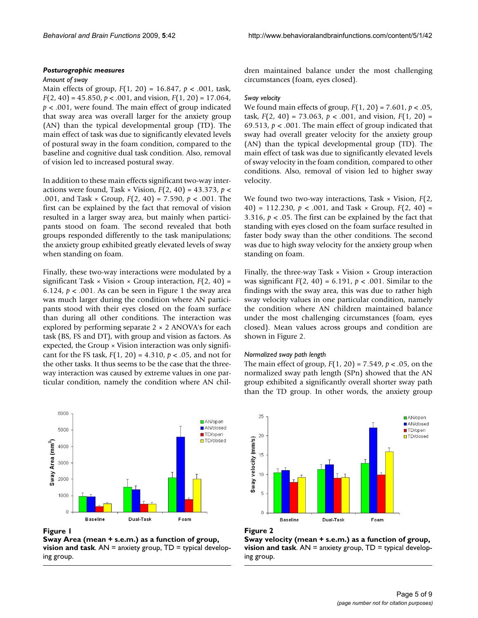#### *Posturographic measures*

#### *Amount of sway*

Main effects of group, *F*(1, 20) = 16.847, *p* < .001, task, *F*(2, 40) = 45.850, *p* < .001, and vision, *F*(1, 20) = 17.064, *p* < .001, were found. The main effect of group indicated that sway area was overall larger for the anxiety group (AN) than the typical developmental group (TD). The main effect of task was due to significantly elevated levels of postural sway in the foam condition, compared to the baseline and cognitive dual task condition. Also, removal of vision led to increased postural sway.

In addition to these main effects significant two-way interactions were found, Task × Vision, *F*(2, 40) = 43.373, *p* < .001, and Task × Group, *F*(2, 40) = 7.590, *p* < .001. The first can be explained by the fact that removal of vision resulted in a larger sway area, but mainly when participants stood on foam. The second revealed that both groups responded differently to the task manipulations; the anxiety group exhibited greatly elevated levels of sway when standing on foam.

Finally, these two-way interactions were modulated by a significant Task  $\times$  Vision  $\times$  Group interaction,  $F(2, 40) =$ 6.[1](#page-4-0)24,  $p < .001$ . As can be seen in Figure 1 the sway area was much larger during the condition where AN participants stood with their eyes closed on the foam surface than during all other conditions. The interaction was explored by performing separate 2 × 2 ANOVA's for each task (BS, FS and DT), with group and vision as factors. As expected, the Group × Vision interaction was only significant for the FS task, *F*(1, 20) = 4.310, *p* < .05, and not for the other tasks. It thus seems to be the case that the threeway interaction was caused by extreme values in one particular condition, namely the condition where AN chil-

<span id="page-4-0"></span>

**Figure 1** 

**Sway Area (mean + s.e.m.) as a function of group, vision and task**. AN = anxiety group, TD = typical developing group.

dren maintained balance under the most challenging circumstances (foam, eyes closed).

#### *Sway velocity*

We found main effects of group, *F*(1, 20) = 7.601, *p* < .05, task,  $F(2, 40) = 73.063$ ,  $p < .001$ , and vision,  $F(1, 20) =$ 69.513,  $p < .001$ . The main effect of group indicated that sway had overall greater velocity for the anxiety group (AN) than the typical developmental group (TD). The main effect of task was due to significantly elevated levels of sway velocity in the foam condition, compared to other conditions. Also, removal of vision led to higher sway velocity.

We found two two-way interactions, Task × Vision, *F*(2, 40) = 112.230, *p* < .001, and Task × Group, *F*(2, 40) = 3.316,  $p < .05$ . The first can be explained by the fact that standing with eyes closed on the foam surface resulted in faster body sway than the other conditions. The second was due to high sway velocity for the anxiety group when standing on foam.

Finally, the three-way Task  $\times$  Vision  $\times$  Group interaction was significant *F*(2, 40) = 6.191, *p* < .001. Similar to the findings with the sway area, this was due to rather high sway velocity values in one particular condition, namely the condition where AN children maintained balance under the most challenging circumstances (foam, eyes closed). Mean values across groups and condition are shown in Figure [2.](#page-4-1)

#### *Normalized sway path length*

The main effect of group, *F*(1, 20) = 7.549, *p* < .05, on the normalized sway path length (SPn) showed that the AN group exhibited a significantly overall shorter sway path than the TD group. In other words, the anxiety group

<span id="page-4-1"></span>

**Figure 2** 

**Sway velocity (mean + s.e.m.) as a function of group, vision and task**. AN = anxiety group, TD = typical developing group.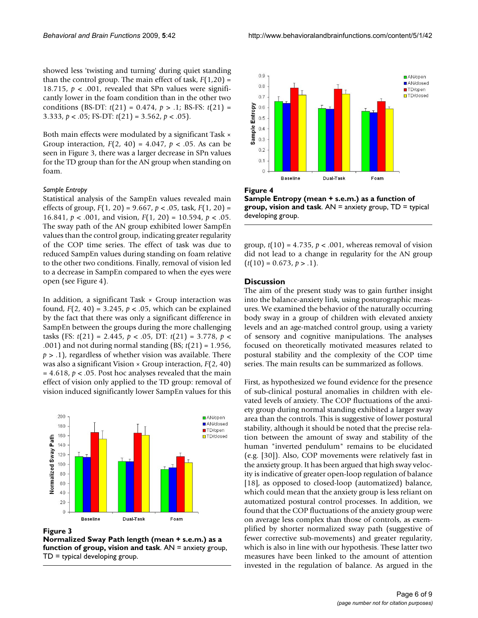showed less 'twisting and turning' during quiet standing than the control group. The main effect of task,  $F(1,20) =$ 18.715,  $p < .001$ , revealed that SPn values were significantly lower in the foam condition than in the other two conditions (BS-DT: *t*(21) = 0.474, *p* > .1; BS-FS: *t*(21) = 3.333, *p* < .05; FS-DT: *t*(21) = 3.562, *p* < .05).

Both main effects were modulated by a significant Task  $\times$ Group interaction, *F*(2, 40) = 4.047, *p* < .05. As can be seen in Figure [3](#page-5-0), there was a larger decrease in SPn values for the TD group than for the AN group when standing on foam.

#### *Sample Entropy*

Statistical analysis of the SampEn values revealed main effects of group, *F*(1, 20) = 9.667, *p* < .05, task, *F*(1, 20) = 16.841, *p* < .001, and vision, *F*(1, 20) = 10.594, *p* < .05. The sway path of the AN group exhibited lower SampEn values than the control group, indicating greater regularity of the COP time series. The effect of task was due to reduced SampEn values during standing on foam relative to the other two conditions. Finally, removal of vision led to a decrease in SampEn compared to when the eyes were open (see Figure [4](#page-5-1)).

In addition, a significant Task  $\times$  Group interaction was found, *F*(2, 40) = 3.245, *p* < .05, which can be explained by the fact that there was only a significant difference in SampEn between the groups during the more challenging tasks (FS: *t*(21) = 2.445, *p* < .05, DT: *t*(21) = 3.778, *p* < .001) and not during normal standing (BS; *t*(21) = 1.956, *p* > .1), regardless of whether vision was available. There was also a significant Vision × Group interaction, *F*(2, 40)  $= 4.618$ ,  $p < .05$ . Post hoc analyses revealed that the main effect of vision only applied to the TD group: removal of vision induced significantly lower SampEn values for this

<span id="page-5-0"></span>

Figure 3

**Normalized Sway Path length (mean + s.e.m.) as a function of group, vision and task**. AN = anxiety group, TD = typical developing group.

<span id="page-5-1"></span>

**Sample Entropy (mean + s.e.m.) as a function of group, vision and task**. AN = anxiety group, TD = typical developing group.

group,  $t(10) = 4.735$ ,  $p < .001$ , whereas removal of vision did not lead to a change in regularity for the AN group  $(t(10) = 0.673, p > 0.1).$ 

#### **Discussion**

The aim of the present study was to gain further insight into the balance-anxiety link, using posturographic measures. We examined the behavior of the naturally occurring body sway in a group of children with elevated anxiety levels and an age-matched control group, using a variety of sensory and cognitive manipulations. The analyses focused on theoretically motivated measures related to postural stability and the complexity of the COP time series. The main results can be summarized as follows.

First, as hypothesized we found evidence for the presence of sub-clinical postural anomalies in children with elevated levels of anxiety. The COP fluctuations of the anxiety group during normal standing exhibited a larger sway area than the controls. This is suggestive of lower postural stability, although it should be noted that the precise relation between the amount of sway and stability of the human "inverted pendulum" remains to be elucidated (e.g. [\[30\]](#page-8-10)). Also, COP movements were relatively fast in the anxiety group. It has been argued that high sway velocity is indicative of greater open-loop regulation of balance [[18](#page-7-15)], as opposed to closed-loop (automatized) balance, which could mean that the anxiety group is less reliant on automatized postural control processes. In addition, we found that the COP fluctuations of the anxiety group were on average less complex than those of controls, as exemplified by shorter normalized sway path (suggestive of fewer corrective sub-movements) and greater regularity, which is also in line with our hypothesis. These latter two measures have been linked to the amount of attention invested in the regulation of balance. As argued in the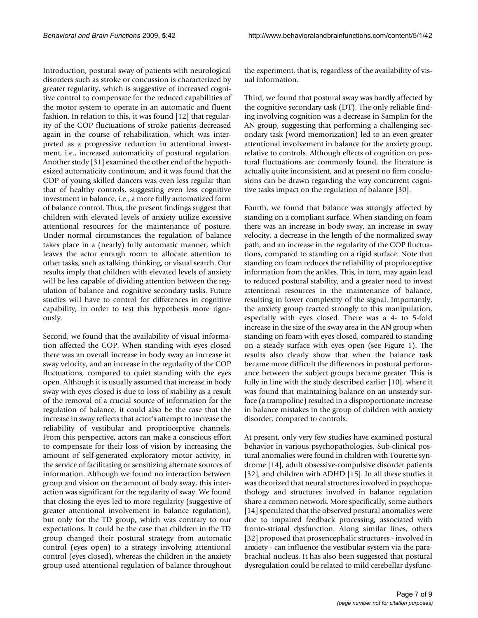Introduction, postural sway of patients with neurological disorders such as stroke or concussion is characterized by greater regularity, which is suggestive of increased cognitive control to compensate for the reduced capabilities of the motor system to operate in an automatic and fluent fashion. In relation to this, it was found [\[12\]](#page-7-16) that regularity of the COP fluctuations of stroke patients decreased again in the course of rehabilitation, which was interpreted as a progressive reduction in attentional investment, i.e., increased automaticity of postural regulation. Another study [[31](#page-8-11)] examined the other end of the hypothesized automaticity continuum, and it was found that the COP of young skilled dancers was even less regular than that of healthy controls, suggesting even less cognitive investment in balance, i.e., a more fully automatized form of balance control. Thus, the present findings suggest that children with elevated levels of anxiety utilize excessive attentional resources for the maintenance of posture. Under normal circumstances the regulation of balance takes place in a (nearly) fully automatic manner, which leaves the actor enough room to allocate attention to other tasks, such as talking, thinking, or visual search. Our results imply that children with elevated levels of anxiety will be less capable of dividing attention between the regulation of balance and cognitive secondary tasks. Future studies will have to control for differences in cognitive capability, in order to test this hypothesis more rigorously.

Second, we found that the availability of visual information affected the COP. When standing with eyes closed there was an overall increase in body sway an increase in sway velocity, and an increase in the regularity of the COP fluctuations, compared to quiet standing with the eyes open. Although it is usually assumed that increase in body sway with eyes closed is due to loss of stability as a result of the removal of a crucial source of information for the regulation of balance, it could also be the case that the increase in sway reflects that actor's attempt to increase the reliability of vestibular and proprioceptive channels. From this perspective, actors can make a conscious effort to compensate for their loss of vision by increasing the amount of self-generated exploratory motor activity, in the service of facilitating or sensitizing alternate sources of information. Although we found no interaction between group and vision on the amount of body sway, this interaction was significant for the regularity of sway. We found that closing the eyes led to more regularity (suggestive of greater attentional involvement in balance regulation), but only for the TD group, which was contrary to our expectations. It could be the case that children in the TD group changed their postural strategy from automatic control (eyes open) to a strategy involving attentional control (eyes closed), whereas the children in the anxiety group used attentional regulation of balance throughout

the experiment, that is, regardless of the availability of visual information.

Third, we found that postural sway was hardly affected by the cognitive secondary task (DT). The only reliable finding involving cognition was a decrease in SampEn for the AN group, suggesting that performing a challenging secondary task (word memorization) led to an even greater attentional involvement in balance for the anxiety group, relative to controls. Although effects of cognition on postural fluctuations are commonly found, the literature is actually quite inconsistent, and at present no firm conclusions can be drawn regarding the way concurrent cognitive tasks impact on the regulation of balance [[30\]](#page-8-10).

Fourth, we found that balance was strongly affected by standing on a compliant surface. When standing on foam there was an increase in body sway, an increase in sway velocity, a decrease in the length of the normalized sway path, and an increase in the regularity of the COP fluctuations, compared to standing on a rigid surface. Note that standing on foam reduces the reliability of proprioceptive information from the ankles. This, in turn, may again lead to reduced postural stability, and a greater need to invest attentional resources in the maintenance of balance, resulting in lower complexity of the signal. Importantly, the anxiety group reacted strongly to this manipulation, especially with eyes closed. There was a 4- to 5-fold increase in the size of the sway area in the AN group when standing on foam with eyes closed, compared to standing on a steady surface with eyes open (see Figure [1\)](#page-4-0). The results also clearly show that when the balance task became more difficult the differences in postural performance between the subject groups became greater. This is fully in line with the study described earlier [\[10\]](#page-7-8), where it was found that maintaining balance on an unsteady surface (a trampoline) resulted in a disproportionate increase in balance mistakes in the group of children with anxiety disorder, compared to controls.

At present, only very few studies have examined postural behavior in various psychopathologies. Sub-clinical postural anomalies were found in children with Tourette syndrome [[14\]](#page-7-11), adult obsessive-compulsive disorder patients [[32](#page-8-12)], and children with ADHD [\[15](#page-7-12)]. In all these studies it was theorized that neural structures involved in psychopathology and structures involved in balance regulation share a common network. More specifically, some authors [[14](#page-7-11)] speculated that the observed postural anomalies were due to impaired feedback processing, associated with fronto-striatal dysfunction. Along similar lines, others [[32](#page-8-12)] proposed that prosencephalic structures - involved in anxiety - can influence the vestibular system via the parabrachial nucleus. It has also been suggested that postural dysregulation could be related to mild cerebellar dysfunc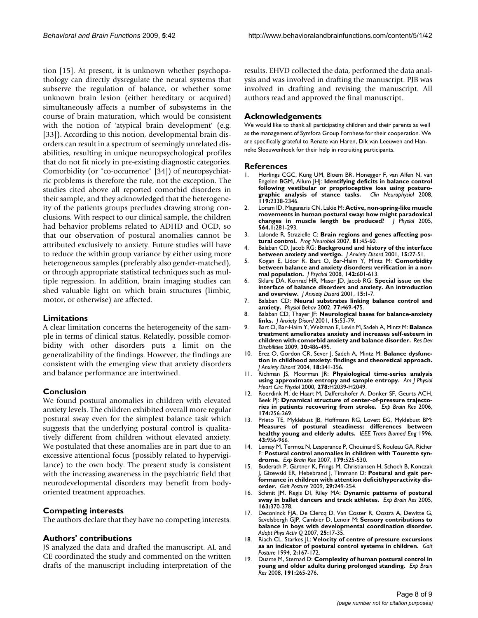tion [[15](#page-7-12)]. At present, it is unknown whether psychopathology can directly dysregulate the neural systems that subserve the regulation of balance, or whether some unknown brain lesion (either hereditary or acquired) simultaneously affects a number of subsystems in the course of brain maturation, which would be consistent with the notion of 'atypical brain development' (e.g. [[33](#page-8-13)]). According to this notion, developmental brain disorders can result in a spectrum of seemingly unrelated disabilities, resulting in unique neuropsychological profiles that do not fit nicely in pre-existing diagnostic categories. Comorbidity (or "co-occurrence" [\[34\]](#page-8-14)) of neuropsychiatric problems is therefore the rule, not the exception. The studies cited above all reported comorbid disorders in their sample, and they acknowledged that the heterogeneity of the patients groups precludes drawing strong conclusions. With respect to our clinical sample, the children had behavior problems related to ADHD and OCD, so that our observation of postural anomalies cannot be attributed exclusively to anxiety. Future studies will have to reduce the within group variance by either using more heterogeneous samples (preferably also gender-matched), or through appropriate statistical techniques such as multiple regression. In addition, brain imaging studies can shed valuable light on which brain structures (limbic, motor, or otherwise) are affected.

## **Limitations**

A clear limitation concerns the heterogeneity of the sample in terms of clinical status. Relatedly, possible comorbidity with other disorders puts a limit on the generalizability of the findings. However, the findings are consistent with the emerging view that anxiety disorders and balance performance are intertwined.

## **Conclusion**

We found postural anomalies in children with elevated anxiety levels. The children exhibited overall more regular postural sway even for the simplest balance task which suggests that the underlying postural control is qualitatively different from children without elevated anxiety. We postulated that these anomalies are in part due to an excessive attentional focus (possibly related to hypervigilance) to the own body. The present study is consistent with the increasing awareness in the psychiatric field that neurodevelopmental disorders may benefit from bodyoriented treatment approaches.

## **Competing interests**

The authors declare that they have no competing interests.

## **Authors' contributions**

JS analyzed the data and drafted the manuscript. AL and CE coordinated the study and commented on the written drafts of the manuscript including interpretation of the results. EHVD collected the data, performed the data analysis and was involved in drafting the manuscript. PJB was involved in drafting and revising the manuscript. All authors read and approved the final manuscript.

## **Acknowledgements**

We would like to thank all participating children and their parents as well as the management of Symfora Group Fornhese for their cooperation. We are specifically grateful to Renate van Haren, Dik van Leeuwen and Hanneke Sleeuwenhoek for their help in recruiting participants.

#### **References**

- <span id="page-7-0"></span>1. Horlings CGC, Küng UM, Bloem BR, Honegger F, van Alfen N, van Engelen BGM, Allum JHJ: **[Identifying deficits in balance control](http://www.ncbi.nlm.nih.gov/entrez/query.fcgi?cmd=Retrieve&db=PubMed&dopt=Abstract&list_uids=18782677) [following vestibular or proprioceptive loss using posturo](http://www.ncbi.nlm.nih.gov/entrez/query.fcgi?cmd=Retrieve&db=PubMed&dopt=Abstract&list_uids=18782677)[graphic analysis of stance tasks.](http://www.ncbi.nlm.nih.gov/entrez/query.fcgi?cmd=Retrieve&db=PubMed&dopt=Abstract&list_uids=18782677)** *Clin Neurophysiol* 2008, **119:**2338-2346.
- <span id="page-7-1"></span>2. Loram ID, Maganaris CN, Lakie M: **Active, non-spring-like muscle movements in human postural sway: how might paradoxical** changes in muscle length be produced? **564.1:**281-293.
- <span id="page-7-2"></span>3. Lalonde R, Strazielle C: **[Brain regions and genes affecting pos](http://www.ncbi.nlm.nih.gov/entrez/query.fcgi?cmd=Retrieve&db=PubMed&dopt=Abstract&list_uids=17222959)[tural control.](http://www.ncbi.nlm.nih.gov/entrez/query.fcgi?cmd=Retrieve&db=PubMed&dopt=Abstract&list_uids=17222959)** *Prog Neurobiol* 2007, **81:**45-60.
- <span id="page-7-3"></span>4. Balaban CD, Jacob RG: **[Background and history of the interface](http://www.ncbi.nlm.nih.gov/entrez/query.fcgi?cmd=Retrieve&db=PubMed&dopt=Abstract&list_uids=11388357) [between anxiety and vertigo.](http://www.ncbi.nlm.nih.gov/entrez/query.fcgi?cmd=Retrieve&db=PubMed&dopt=Abstract&list_uids=11388357)** *J Anxiety Disord* 2001, **15:**27-51.
- 5. Kogan E, Lidor R, Bart O, Bar-Haim Y, Mintz M: **[Comorbidity](http://www.ncbi.nlm.nih.gov/entrez/query.fcgi?cmd=Retrieve&db=PubMed&dopt=Abstract&list_uids=19049239) [between balance and anxiety disorders: verification in a nor](http://www.ncbi.nlm.nih.gov/entrez/query.fcgi?cmd=Retrieve&db=PubMed&dopt=Abstract&list_uids=19049239)[mal population.](http://www.ncbi.nlm.nih.gov/entrez/query.fcgi?cmd=Retrieve&db=PubMed&dopt=Abstract&list_uids=19049239)** *J Psychol* 2008, **142:**601-613.
- <span id="page-7-4"></span>6. Sklare DA, Konrad HR, Maser JD, Jacob RG: **[Special issue on the](http://www.ncbi.nlm.nih.gov/entrez/query.fcgi?cmd=Retrieve&db=PubMed&dopt=Abstract&list_uids=11388353) [interface of balance disorders and anxiety. An introduction](http://www.ncbi.nlm.nih.gov/entrez/query.fcgi?cmd=Retrieve&db=PubMed&dopt=Abstract&list_uids=11388353) [and overview.](http://www.ncbi.nlm.nih.gov/entrez/query.fcgi?cmd=Retrieve&db=PubMed&dopt=Abstract&list_uids=11388353)** *J Anxiety Disord* 2001, **15:**1-7.
- <span id="page-7-5"></span>7. Balaban CD: **[Neural substrates linking balance control and](http://www.ncbi.nlm.nih.gov/entrez/query.fcgi?cmd=Retrieve&db=PubMed&dopt=Abstract&list_uids=12526985) [anxiety.](http://www.ncbi.nlm.nih.gov/entrez/query.fcgi?cmd=Retrieve&db=PubMed&dopt=Abstract&list_uids=12526985)** *Physiol Behav* 2002, **77:**469-475.
- <span id="page-7-6"></span>8. Balaban CD, Thayer JF: **[Neurological bases for balance-anxiety](http://www.ncbi.nlm.nih.gov/entrez/query.fcgi?cmd=Retrieve&db=PubMed&dopt=Abstract&list_uids=11388358) [links.](http://www.ncbi.nlm.nih.gov/entrez/query.fcgi?cmd=Retrieve&db=PubMed&dopt=Abstract&list_uids=11388358)** *J Anxiety Disord* 2001, **15:**53-79.
- <span id="page-7-7"></span>9. Bart O, Bar-Haim Y, Weizman E, Levin M, Sadeh A, Mintz M: **Balance treatment ameliorates anxiety and increases self-esteem in children with comorbid anxiety and balance disorder.** *Res Dev Disabilities* 2009, **30:**486-495.
- <span id="page-7-8"></span>10. Erez O, Gordon CR, Sever J, Sadeh A, Mintz M: **[Balance dysfunc](http://www.ncbi.nlm.nih.gov/entrez/query.fcgi?cmd=Retrieve&db=PubMed&dopt=Abstract&list_uids=15125981)[tion in childhood anxiety: findings and theoretical approach.](http://www.ncbi.nlm.nih.gov/entrez/query.fcgi?cmd=Retrieve&db=PubMed&dopt=Abstract&list_uids=15125981)** *J Anxiety Disord* 2004, **18:**341-356.
- <span id="page-7-9"></span>11. Richman JS, Moorman JR: **[Physiological time-series analysis](http://www.ncbi.nlm.nih.gov/entrez/query.fcgi?cmd=Retrieve&db=PubMed&dopt=Abstract&list_uids=10843903) [using approximate entropy and sample entropy.](http://www.ncbi.nlm.nih.gov/entrez/query.fcgi?cmd=Retrieve&db=PubMed&dopt=Abstract&list_uids=10843903)** *Am J Physiol Heart Circ Physiol* 2000, **278:**H2039-H2049.
- <span id="page-7-16"></span>12. Roerdink M, de Haart M, Daffertshofer A, Donker SF, Geurts ACH, Beek PJ: **[Dynamical structure of center-of-pressure trajecto](http://www.ncbi.nlm.nih.gov/entrez/query.fcgi?cmd=Retrieve&db=PubMed&dopt=Abstract&list_uids=16685508)[ries in patients recovering from stroke.](http://www.ncbi.nlm.nih.gov/entrez/query.fcgi?cmd=Retrieve&db=PubMed&dopt=Abstract&list_uids=16685508)** *Exp Brain Res* 2006, **174:**256-269.
- <span id="page-7-10"></span>13. Prieto TE, Myklebust JB, Hoffmann RG, Lovett EG, Myklebust BM: **[Measures of postural steadiness: differences between](http://www.ncbi.nlm.nih.gov/entrez/query.fcgi?cmd=Retrieve&db=PubMed&dopt=Abstract&list_uids=9214811) [healthy young and elderly adults.](http://www.ncbi.nlm.nih.gov/entrez/query.fcgi?cmd=Retrieve&db=PubMed&dopt=Abstract&list_uids=9214811)** *IEEE Trans Biomed Eng* 1996, **43:**956-966.
- <span id="page-7-11"></span>14. Lemay M, Termoz N, Lesperance P, Chouinard S, Rouleau GA, Richer F: **[Postural control anomalies in children with Tourette syn](http://www.ncbi.nlm.nih.gov/entrez/query.fcgi?cmd=Retrieve&db=PubMed&dopt=Abstract&list_uids=17342479)[drome.](http://www.ncbi.nlm.nih.gov/entrez/query.fcgi?cmd=Retrieve&db=PubMed&dopt=Abstract&list_uids=17342479)** *Exp Brain Res* 2007, **179:**525-530.
- <span id="page-7-12"></span>15. Buderath P, Gärtner K, Frings M, Christiansen H, Schoch B, Konczak J, Gizewski ER, Hebebrand J, Timmann D: **[Postural and gait per](http://www.ncbi.nlm.nih.gov/entrez/query.fcgi?cmd=Retrieve&db=PubMed&dopt=Abstract&list_uids=18963991)[formance in children with attention deficit/hyperactivity dis](http://www.ncbi.nlm.nih.gov/entrez/query.fcgi?cmd=Retrieve&db=PubMed&dopt=Abstract&list_uids=18963991)[order.](http://www.ncbi.nlm.nih.gov/entrez/query.fcgi?cmd=Retrieve&db=PubMed&dopt=Abstract&list_uids=18963991)** *Gait Posture* 2009, **29:**249-254.
- <span id="page-7-13"></span>16. Schmit JM, Regis DI, Riley MA: **[Dynamic patterns of postural](http://www.ncbi.nlm.nih.gov/entrez/query.fcgi?cmd=Retrieve&db=PubMed&dopt=Abstract&list_uids=15655686) [sway in ballet dancers and track athletes.](http://www.ncbi.nlm.nih.gov/entrez/query.fcgi?cmd=Retrieve&db=PubMed&dopt=Abstract&list_uids=15655686)** *Exp Brain Res* 2005, **163:**370-378.
- <span id="page-7-14"></span>17. Deconinck FJA, De Clercq D, Van Coster R, Oostra A, Dewitte G, Savelsbergh GJP, Cambier D, Lenoir M: **Sensory contributions to balance in boys with developmental coordination disorder.** *Adapt Phys Activ Q* 2007, **25:**17-35.
- <span id="page-7-15"></span>18. Riach CL, Starkes JL: Velocity of centre of pressure excursions **as an indicator of postural control systems in children.** *Gait Posture* 1994, **2:**167-172.
- <span id="page-7-17"></span>19. Duarte M, Sternad D: **[Complexity of human postural control in](http://www.ncbi.nlm.nih.gov/entrez/query.fcgi?cmd=Retrieve&db=PubMed&dopt=Abstract&list_uids=18696056) [young and older adults during prolonged standing.](http://www.ncbi.nlm.nih.gov/entrez/query.fcgi?cmd=Retrieve&db=PubMed&dopt=Abstract&list_uids=18696056)** *Exp Brain Res* 2008, **191:**265-276.